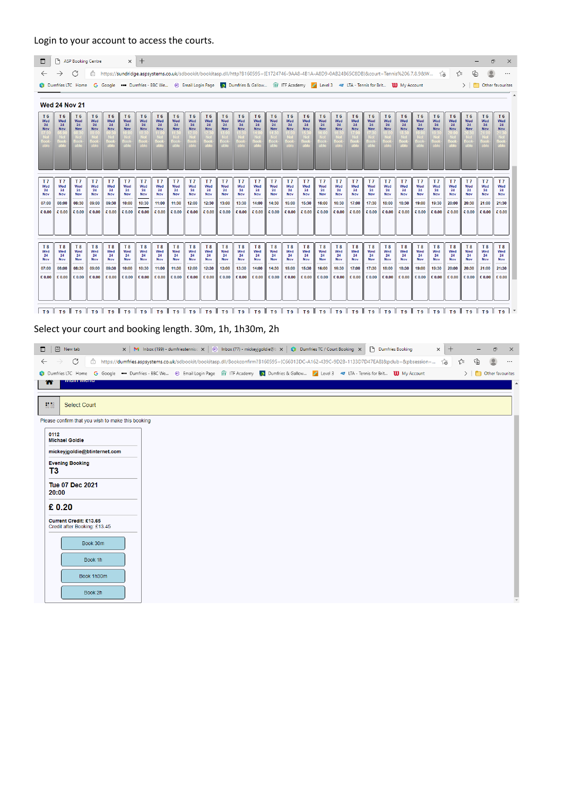## Login to your account to access the courts.

| $\Box$                                                       |                                                                                                                                                  | ASP Booking Centre                                    |                                                       |                                                       |                                                       | $x +$                                                 |                                                       |                                                       |                                                       |                                                              |                                                              |                                                              |                                                              |                                                              |                                                              |                                                       |                                                       |                                                       |                                                       |                                                       |                                                       |                                                                                                                                                                      |                                                       |                                                       |                                                              |                                                       | ο                                                            | $\times$                                                     |
|--------------------------------------------------------------|--------------------------------------------------------------------------------------------------------------------------------------------------|-------------------------------------------------------|-------------------------------------------------------|-------------------------------------------------------|-------------------------------------------------------|-------------------------------------------------------|-------------------------------------------------------|-------------------------------------------------------|-------------------------------------------------------|--------------------------------------------------------------|--------------------------------------------------------------|--------------------------------------------------------------|--------------------------------------------------------------|--------------------------------------------------------------|--------------------------------------------------------------|-------------------------------------------------------|-------------------------------------------------------|-------------------------------------------------------|-------------------------------------------------------|-------------------------------------------------------|-------------------------------------------------------|----------------------------------------------------------------------------------------------------------------------------------------------------------------------|-------------------------------------------------------|-------------------------------------------------------|--------------------------------------------------------------|-------------------------------------------------------|--------------------------------------------------------------|--------------------------------------------------------------|
| $\leftarrow$                                                 | $\rightarrow$                                                                                                                                    | C                                                     | ô                                                     |                                                       |                                                       |                                                       |                                                       |                                                       |                                                       |                                                              |                                                              |                                                              |                                                              |                                                              |                                                              |                                                       |                                                       |                                                       |                                                       |                                                       |                                                       | https://sundridge.aspsystems.co.uk/sdbookit/bookitasp.dll/http?B160595={E1724746-9AA8-4B1A-A8D9-0AB24B65C8DB}&court=Tennis%206,7,8,9&W                               |                                                       | ි.ම                                                   | √≅                                                           | ্দি                                                   |                                                              |                                                              |
|                                                              | Dumfries LTC Home G Google  Dumfries - BBC We @ Email Login Page D Dumfries & Gallow Tr ITF Academy Level 3 < LTA - Tennis for Brit 1 My Account |                                                       |                                                       |                                                       |                                                       |                                                       |                                                       |                                                       |                                                       |                                                              |                                                              |                                                              |                                                              |                                                              |                                                              |                                                       |                                                       |                                                       |                                                       |                                                       |                                                       |                                                                                                                                                                      |                                                       |                                                       |                                                              |                                                       |                                                              | $\triangleright$ $\blacksquare$ Other favourites             |
|                                                              | <b>Wed 24 Nov 21</b>                                                                                                                             |                                                       |                                                       |                                                       |                                                       |                                                       |                                                       |                                                       |                                                       |                                                              |                                                              |                                                              |                                                              |                                                              |                                                              |                                                       |                                                       |                                                       |                                                       |                                                       |                                                       |                                                                                                                                                                      |                                                       |                                                       |                                                              |                                                       |                                                              |                                                              |
| T <sub>6</sub><br>Wed<br>24<br><b>Nov</b>                    | T <sub>6</sub><br>Wed<br>24<br><b>Nov</b>                                                                                                        | T <sub>6</sub><br>Wed<br>24<br><b>Nov</b>             | T <sub>6</sub><br>Wed<br>24<br>Nov                    | T <sub>6</sub><br>Wed<br>24<br>Nov                    | T <sub>6</sub><br>Wed<br>24<br><b>Nov</b>             | T <sub>6</sub><br>Wed<br>24<br>Nov                    | T <sub>6</sub><br>Wed<br>24<br>Nov                    | T <sub>6</sub><br>Wed<br>24<br><b>Nov</b>             | T <sub>6</sub><br>Wed<br>24<br><b>Nov</b>             | T <sub>6</sub><br>Wed<br>24<br><b>Nov</b>                    | T <sub>6</sub><br>Wed<br>24<br><b>Nov</b>                    | T <sub>6</sub><br>Wed<br>24<br><b>Nov</b>                    | T <sub>6</sub><br>Wed<br>24<br><b>Nov</b>                    | T <sub>6</sub><br>Wed<br>24<br><b>Nov</b>                    | T <sub>6</sub><br>Wed<br>24<br><b>Nov</b>                    | T <sub>6</sub><br>Wed<br>24<br><b>Nov</b>             | T <sub>6</sub><br>Wed<br>24<br><b>Nov</b>             | T <sub>6</sub><br>Wed<br>24<br><b>Nov</b>             | T <sub>6</sub><br>Wed<br>24<br><b>Nov</b>             | T <sub>6</sub><br>Wed<br>24<br>Nov                    | T <sub>6</sub><br>Wed<br>24<br>Nov                    | T <sub>6</sub><br>Wed<br>24<br>Nov                                                                                                                                   | T <sub>6</sub><br>Wed<br>24<br><b>Nov</b>             | T <sub>6</sub><br>Wed<br>24<br><b>Nov</b>             | T <sub>6</sub><br>Wed<br>24<br><b>Nov</b>                    | T <sub>6</sub><br>Wed<br>24<br><b>Nov</b>             | T <sub>6</sub><br>Wed<br>24<br><b>Nov</b>                    | T <sub>6</sub><br>Wed<br>24<br><b>Nov</b>                    |
| T <sub>7</sub><br>Wed<br>24<br><b>Nov</b><br>07:00<br>€ 0.00 | T <sub>7</sub><br>Wed<br>24<br>Nov<br>08:00<br>€ 0.00                                                                                            | T <sub>7</sub><br>Wed<br>24<br>Nov<br>08:30<br>€ 0.00 | T <sub>7</sub><br>Wed<br>24<br>Nov<br>09:00<br>€ 0.00 | T <sub>7</sub><br>Wed<br>24<br>Nov<br>09:30<br>€ 0.00 | T <sub>7</sub><br>Wed<br>24<br>Nov<br>10:00<br>€ 0.00 | T <sub>7</sub><br>Wed<br>24<br>Nov<br>10:30<br>€ 0.00 | T <sub>7</sub><br>Wed<br>24<br>Nov<br>11:00<br>€ 0.00 | T <sub>7</sub><br>Wed<br>24<br>Nov<br>11:30<br>€ 0.00 | T <sub>7</sub><br>Wed<br>24<br>Nov<br>12:00<br>€ 0.00 | T <sub>7</sub><br>Wed<br>24<br><b>Nov</b><br>12:30<br>€ 0.00 | T <sub>7</sub><br>Wed<br>24<br><b>Nov</b><br>13:00<br>€ 0.00 | T <sub>7</sub><br>Wed<br>24<br><b>Nov</b><br>13:30<br>€ 0.00 | T <sub>7</sub><br>Wed<br>24<br><b>Nov</b><br>14:00<br>€ 0.00 | T <sub>7</sub><br>Wed<br>24<br>Nov<br>14:30<br>€ 0.00        | T <sub>7</sub><br>Wed<br>24<br><b>Nov</b><br>15:00<br>€ 0.00 | T <sub>7</sub><br>Wed<br>24<br>Nov<br>15:30<br>€ 0.00 | T <sub>7</sub><br>Wed<br>24<br>Nov<br>16:00<br>€ 0.00 | T <sub>7</sub><br>Wed<br>24<br>Nov<br>16:30<br>€ 0.00 | T <sub>7</sub><br>Wed<br>24<br>Nov<br>17:00<br>€ 0.00 | T <sub>7</sub><br>Wed<br>24<br>Nov<br>17:30<br>€ 0.00 | T <sub>7</sub><br>Wed<br>24<br>Nov<br>18:00<br>€ 0.00 | T <sub>7</sub><br>Wed<br>24<br>Nov<br>18:30<br>€ 0.00                                                                                                                | T <sub>7</sub><br>Wed<br>24<br>Nov<br>19:00<br>€ 0.00 | T <sub>7</sub><br>Wed<br>24<br>Nov<br>19:30<br>€ 0.00 | T <sub>7</sub><br>Wed<br>24<br><b>Nov</b><br>20:00<br>€ 0.00 | T <sub>7</sub><br>Wed<br>24<br>Nov<br>20:30<br>€ 0.00 | T <sub>7</sub><br>Wed<br>24<br><b>Nov</b><br>21:00<br>€ 0.00 | T <sub>7</sub><br>Wed<br>24<br><b>Nov</b><br>21:30<br>€ 0.00 |
| T <sub>8</sub><br>Wed<br>24<br><b>Nov</b><br>07:00<br>€ 0.00 | T <sub>8</sub><br>Wed<br>24<br><b>Nov</b><br>08:00<br>€ 0.00                                                                                     | T <sub>8</sub><br>Wed<br>24<br>Nov<br>08:30<br>€ 0.00 | T <sub>8</sub><br>Wed<br>24<br>Nov<br>09:00<br>€ 0.00 | T <sub>8</sub><br>Wed<br>24<br>Nov<br>09:30<br>€ 0.00 | T <sub>8</sub><br>Wed<br>24<br>Nov<br>10:00<br>€ 0.00 | T <sub>8</sub><br>Wed<br>24<br>Nov<br>10:30<br>€ 0.00 | T <sub>8</sub><br>Wed<br>24<br>Nov<br>11:00<br>€ 0.00 | T <sub>8</sub><br>Wed<br>24<br>Nov<br>11:30<br>€ 0.00 | T <sub>8</sub><br>Wed<br>24<br>Nov<br>12:00<br>€ 0.00 | T <sub>8</sub><br>Wed<br>24<br>Nov<br>12:30<br>€ 0.00        | T <sub>8</sub><br>Wed<br>24<br><b>Nov</b><br>13:00<br>€ 0.00 | T <sub>8</sub><br>Wed<br>24<br>Nov<br>13:30<br>€ 0.00        | T <sub>8</sub><br>Wed<br>24<br><b>Nov</b><br>14:00<br>€ 0.00 | T <sub>8</sub><br>Wed<br>24<br><b>Nov</b><br>14:30<br>€ 0.00 | T <sub>8</sub><br>Wed<br>24<br>Nov<br>15:00<br>€ 0.00        | T <sub>8</sub><br>Wed<br>24<br>Nov<br>15:30<br>€ 0.00 | T <sub>8</sub><br>Wed<br>24<br>Nov<br>16:00<br>€ 0.00 | T <sub>8</sub><br>Wed<br>24<br>Nov<br>16:30<br>€ 0.00 | T <sub>8</sub><br>Wed<br>24<br>Nov<br>17:00<br>€ 0.00 | T <sub>8</sub><br>Wed<br>24<br>Nov<br>17:30<br>€ 0.00 | T <sub>8</sub><br>Wed<br>24<br>Nov<br>18:00<br>€ 0.00 | T <sub>8</sub><br>Wed<br>24<br>Nov<br>18:30<br>€ 0.00                                                                                                                | T <sub>8</sub><br>Wed<br>24<br>Nov<br>19:00<br>€ 0.00 | T <sub>8</sub><br>Wed<br>24<br>Nov<br>19:30<br>€ 0.00 | T <sub>8</sub><br>Wed<br>24<br>Nov<br>20:00<br>€ 0.00        | T <sub>8</sub><br>Wed<br>24<br>Nov<br>20:30<br>€ 0.00 | T <sub>8</sub><br>Wed<br>24<br><b>Nov</b><br>21:00<br>€ 0.00 | T <sub>8</sub><br>Wed<br>24<br><b>Nov</b><br>21:30<br>€ 0.00 |
| T <sub>9</sub>                                               | $\parallel$ T9 $\parallel$ T9 $\parallel$ T9 $\parallel$ T9 $\parallel$ T9 $\parallel$                                                           |                                                       |                                                       |                                                       |                                                       |                                                       | T9    T9    T9    T9    T9                            |                                                       |                                                       |                                                              | $\mathbf{1}$ T9                                              | $\mathbb{L}$ T9                                              | $\parallel$ T9 $\parallel$ T9                                |                                                              |                                                              |                                                       |                                                       |                                                       |                                                       |                                                       |                                                       | $\parallel$ T9 $\parallel$ T9 $\parallel$ T9 $\parallel$ T9 $\parallel$ T9 $\parallel$ T9 $\parallel$ T9 $\parallel$ T9 $\parallel$ T9 $\parallel$ T9 $\parallel$ T9 |                                                       |                                                       |                                                              |                                                       | $II$ T9                                                      | T9                                                           |

Select your court and booking length. 30m, 1h, 1h30m, 2h

| 同 New tab<br>$\Box$                                                                                                                                        | $\times$ M Inbox (199) - dumfriestennis $\ltimes$ (e) Inbox (77) - mickeyigoldie@b $\times$ (c) Dumfries TC / Court Booking $\times$         |  | P Dumfries Booking | $\times$ + | Ο                                 | $\times$ |
|------------------------------------------------------------------------------------------------------------------------------------------------------------|----------------------------------------------------------------------------------------------------------------------------------------------|--|--------------------|------------|-----------------------------------|----------|
| C<br>$\leftarrow$<br>$\rightarrow$                                                                                                                         | 습 https://dumfries.aspsystems.co.uk/sdbookit/bookitasp.dll/Bookconfirm?B160595=(C66013DC-A162-439C-9D2B-1133D7D47EAB}&pclub=&pbsession= ស្តី |  |                    | า∕ิ≡       | ِ ⊕                               | $\cdots$ |
| Dumfries LTC Home G Google . Dumfries - BBC We @ Email Login Page TTF ITF Academy Dumfries & Gallow A Level 3 < LTA - Tennis for Brit <b>UU</b> My Account |                                                                                                                                              |  |                    | $>$        | <b>Community</b> Other favourites |          |
| <b>VIGILI IVIGILU</b><br>m                                                                                                                                 |                                                                                                                                              |  |                    |            |                                   | ۰        |
| 38.88<br><b>Select Court</b>                                                                                                                               |                                                                                                                                              |  |                    |            |                                   |          |
| Please confirm that you wish to make this booking                                                                                                          |                                                                                                                                              |  |                    |            |                                   |          |
| 0112<br><b>Michael Goldie</b>                                                                                                                              |                                                                                                                                              |  |                    |            |                                   |          |
| mickeyjgoldie@btinternet.com                                                                                                                               |                                                                                                                                              |  |                    |            |                                   |          |
| <b>Evening Booking</b><br>T3                                                                                                                               |                                                                                                                                              |  |                    |            |                                   |          |
| <b>Tue 07 Dec 2021</b><br>20:00                                                                                                                            |                                                                                                                                              |  |                    |            |                                   |          |
| £0.20                                                                                                                                                      |                                                                                                                                              |  |                    |            |                                   |          |
| Current Credit: £13.65<br>Credit after Booking: £13.45                                                                                                     |                                                                                                                                              |  |                    |            |                                   |          |
| Book 30m                                                                                                                                                   |                                                                                                                                              |  |                    |            |                                   |          |
| Book 1h                                                                                                                                                    |                                                                                                                                              |  |                    |            |                                   |          |
| Book 1h30m                                                                                                                                                 |                                                                                                                                              |  |                    |            |                                   |          |
| Book 2h                                                                                                                                                    |                                                                                                                                              |  |                    |            |                                   |          |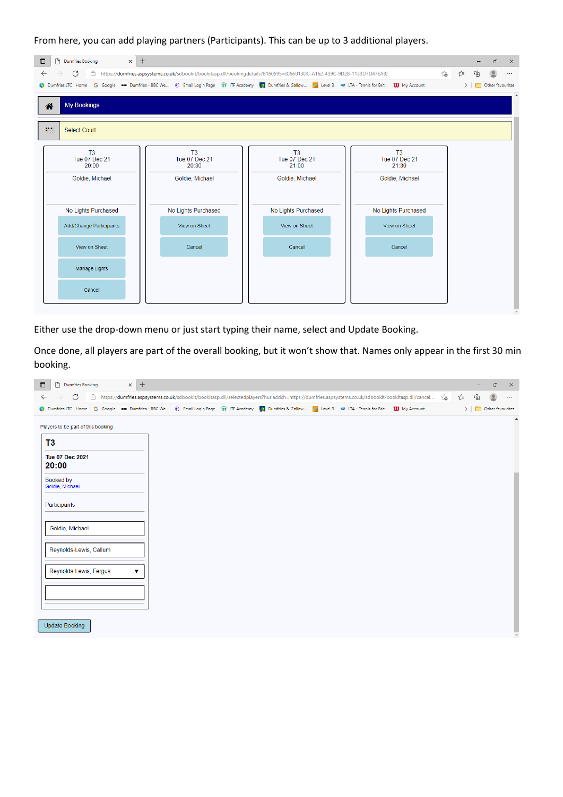From here, you can add playing partners (Participants). This can be up to 3 additional players.

| $\times$ +<br>$\Box$<br>Dumfries Booking                                                                                                           |                                                                                                                          |                                     |                                                 |        | Ō                                                | $\times$ |
|----------------------------------------------------------------------------------------------------------------------------------------------------|--------------------------------------------------------------------------------------------------------------------------|-------------------------------------|-------------------------------------------------|--------|--------------------------------------------------|----------|
| C<br>$\leftarrow$                                                                                                                                  | ि https://dumfries.aspsystems.co.uk/sdbookit/bookitasp.dll/bookingdetails?B160595={C66013DC-A162-439C-9D2B-1133D7D47EAB} |                                     |                                                 | సం 1ి≡ | ⊕                                                | $\cdots$ |
| Dumfries LTC Home G Google . Dumfries - BBC We @ Email Login Page fr ITF Academy Dumfries & Gallow A Level 3 < LTA - Tennis for Brit UU My Account |                                                                                                                          |                                     |                                                 |        | $\triangleright$ $\blacksquare$ Other favourites |          |
| <b>My Bookings</b><br>合                                                                                                                            |                                                                                                                          |                                     |                                                 |        |                                                  |          |
| 38.88<br><b>Select Court</b>                                                                                                                       |                                                                                                                          |                                     |                                                 |        |                                                  |          |
| T <sub>3</sub><br><b>Tue 07 Dec 21</b><br>20:00                                                                                                    | T <sub>3</sub><br><b>Tue 07 Dec 21</b><br>20:30                                                                          | T3<br><b>Tue 07 Dec 21</b><br>21:00 | T <sub>3</sub><br><b>Tue 07 Dec 21</b><br>21:30 |        |                                                  |          |
| Goldie, Michael                                                                                                                                    | Goldie, Michael                                                                                                          | Goldie, Michael                     | Goldie, Michael                                 |        |                                                  |          |
| No Lights Purchased                                                                                                                                | No Lights Purchased                                                                                                      | No Lights Purchased                 | No Lights Purchased                             |        |                                                  |          |
| <b>Add/Change Participants</b>                                                                                                                     | View on Sheet                                                                                                            | View on Sheet                       | View on Sheet                                   |        |                                                  |          |
| View on Sheet                                                                                                                                      | Cancel                                                                                                                   | Cancel                              | Cancel                                          |        |                                                  |          |
| Manage Lights                                                                                                                                      |                                                                                                                          |                                     |                                                 |        |                                                  |          |
| Cancel                                                                                                                                             |                                                                                                                          |                                     |                                                 |        |                                                  |          |
|                                                                                                                                                    |                                                                                                                          |                                     |                                                 |        |                                                  |          |

Either use the drop-down menu or just start typing their name, select and Update Booking.

Once done, all players are part of the overall booking, but it won't show that. Names only appear in the first 30 min booking.

| $\blacksquare$ | P Dumfries Booking                 | $\times$ + |  |                                                                                                                                                      |  |    |      |   | Ο                                                | $\times$         |
|----------------|------------------------------------|------------|--|------------------------------------------------------------------------------------------------------------------------------------------------------|--|----|------|---|--------------------------------------------------|------------------|
| $\leftarrow$   | C<br>$\rightarrow$                 |            |  | ⊕ https://dumfries.aspsystems.co.uk/sdbookit/bookitasp.dll/selectedplayers?hurladdch=https://dumfries.aspsystems.co.uk/sdbookit/bookitasp.dll/cancel |  | ౕౚ | ร′ิ≡ | 庙 |                                                  | $\cdots$         |
|                |                                    |            |  | Dumfries LTC Home G Google  Dumfries - BBC We @ Email Login Page fr ITF Academy ( Dumfries & Gallow Z Level 3  TL R- Tennis for Brit 10 My Account   |  |    |      |   | $\triangleright$ $\blacksquare$ Other favourites |                  |
|                | Players to be part of this booking |            |  |                                                                                                                                                      |  |    |      |   |                                                  | $\blacktriangle$ |
|                | T3                                 |            |  |                                                                                                                                                      |  |    |      |   |                                                  |                  |
|                | <b>Tue 07 Dec 2021</b><br>20:00    |            |  |                                                                                                                                                      |  |    |      |   |                                                  |                  |
|                | Booked by<br>Goldie, Michael       |            |  |                                                                                                                                                      |  |    |      |   |                                                  |                  |
|                | Participants                       |            |  |                                                                                                                                                      |  |    |      |   |                                                  |                  |
|                | Goldie, Michael                    |            |  |                                                                                                                                                      |  |    |      |   |                                                  |                  |
|                | Reynolds-Lewis, Callum             |            |  |                                                                                                                                                      |  |    |      |   |                                                  |                  |
|                | Reynolds-Lewis, Fergus             | ▼          |  |                                                                                                                                                      |  |    |      |   |                                                  |                  |
|                |                                    |            |  |                                                                                                                                                      |  |    |      |   |                                                  |                  |
|                | <b>Update Booking</b>              |            |  |                                                                                                                                                      |  |    |      |   |                                                  |                  |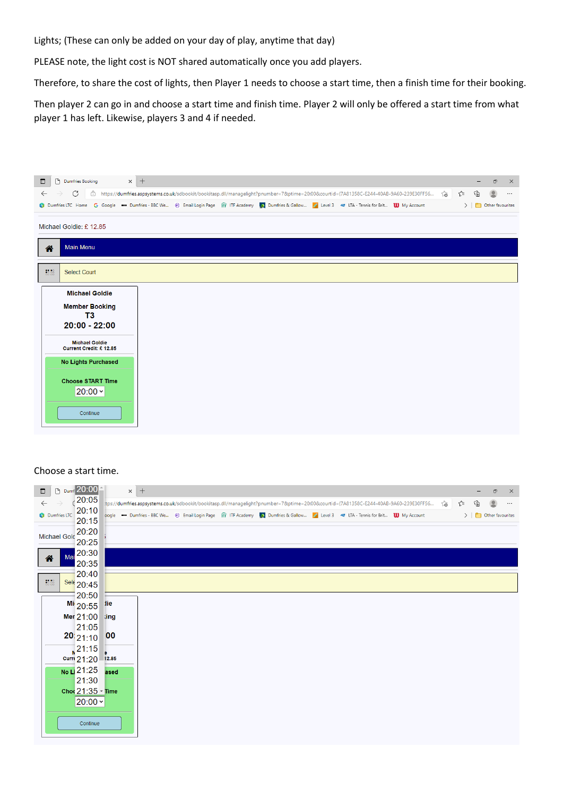Lights; (These can only be added on your day of play, anytime that day)

PLEASE note, the light cost is NOT shared automatically once you add players.

Therefore, to share the cost of lights, then Player 1 needs to choose a start time, then a finish time for their booking.

Then player 2 can go in and choose a start time and finish time. Player 2 will only be offered a start time from what player 1 has left. Likewise, players 3 and 4 if needed.

| P Dumfries Booking<br>$\Box$                                                                                                                                  | $\times$ + |  |  |                                                                                                                                             |  |    |                     | ο<br>$\times$      |
|---------------------------------------------------------------------------------------------------------------------------------------------------------------|------------|--|--|---------------------------------------------------------------------------------------------------------------------------------------------|--|----|---------------------|--------------------|
| C<br>$\leftarrow$<br>$\rightarrow$                                                                                                                            |            |  |  | 습 https://dumfries.aspsystems.co.uk/sdbookit/bookitasp.dll/managelight?pnumber=7&ptime=20:00&courtid={7A81358C-E244-40AB-9A60-239E30FF56 (습 |  | รา | ⊕<br>$\overline{2}$ |                    |
| Dumfries LTC Home G Google . Dumfries - BBC We . @ Email Login Page Tr ITF Academy 2 Dumfries & Gallow A Level 3 . LTA - Tennis for Brit <b>UD</b> My Account |            |  |  |                                                                                                                                             |  |    |                     | > Other favourites |
|                                                                                                                                                               |            |  |  |                                                                                                                                             |  |    |                     |                    |
| Michael Goldie: £12.85                                                                                                                                        |            |  |  |                                                                                                                                             |  |    |                     |                    |
| <b>Main Menu</b><br>谷                                                                                                                                         |            |  |  |                                                                                                                                             |  |    |                     |                    |
|                                                                                                                                                               |            |  |  |                                                                                                                                             |  |    |                     |                    |
| 88.88<br><b>Select Court</b>                                                                                                                                  |            |  |  |                                                                                                                                             |  |    |                     |                    |
|                                                                                                                                                               |            |  |  |                                                                                                                                             |  |    |                     |                    |
| <b>Michael Goldie</b>                                                                                                                                         |            |  |  |                                                                                                                                             |  |    |                     |                    |
| <b>Member Booking</b>                                                                                                                                         |            |  |  |                                                                                                                                             |  |    |                     |                    |
| T3                                                                                                                                                            |            |  |  |                                                                                                                                             |  |    |                     |                    |
| $20:00 - 22:00$                                                                                                                                               |            |  |  |                                                                                                                                             |  |    |                     |                    |
| <b>Michael Goldie</b>                                                                                                                                         |            |  |  |                                                                                                                                             |  |    |                     |                    |
| Current Credit: £12.85                                                                                                                                        |            |  |  |                                                                                                                                             |  |    |                     |                    |
| <b>No Lights Purchased</b>                                                                                                                                    |            |  |  |                                                                                                                                             |  |    |                     |                    |
|                                                                                                                                                               |            |  |  |                                                                                                                                             |  |    |                     |                    |
| <b>Choose START Time</b><br>$ 20:00 \times$                                                                                                                   |            |  |  |                                                                                                                                             |  |    |                     |                    |
|                                                                                                                                                               |            |  |  |                                                                                                                                             |  |    |                     |                    |
| Continue                                                                                                                                                      |            |  |  |                                                                                                                                             |  |    |                     |                    |
|                                                                                                                                                               |            |  |  |                                                                                                                                             |  |    |                     |                    |
|                                                                                                                                                               |            |  |  |                                                                                                                                             |  |    |                     |                    |

## Choose a start time.

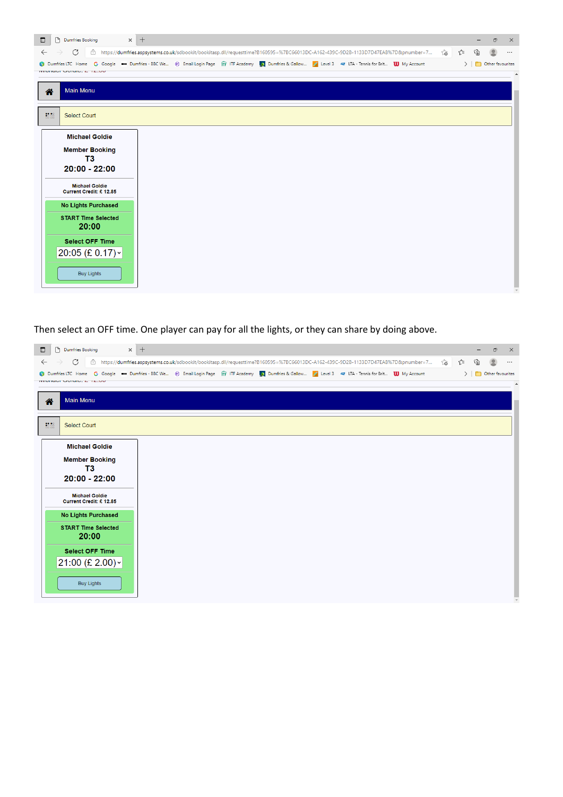| $\Box$                    | $\times$ +<br>P Dumfries Booking                |                                                                                                                                                    |    |     |   | $\boldsymbol{\times}$<br>ο |
|---------------------------|-------------------------------------------------|----------------------------------------------------------------------------------------------------------------------------------------------------|----|-----|---|----------------------------|
| $\leftarrow$              | C<br>$\rightarrow$                              | □ https://dumfries.aspsystems.co.uk/sdbookit/bookitasp.dll/requesttime?B160595=%7BC66013DC-A162-439C-9D2B-1133D7D47EAB%7D&pnumber=7                | సం | √`≡ | ⊕ | $\cdots$                   |
|                           | $M1211401$ UVIGIO, $L12100$                     | Dumfries LTC Home G Google  Dumfries - BBC We . @ Email Login Page Tr ITF Academy Dumfries & Gallow A Level 3  LTA - Tennis for Brit 10 My Account |    |     |   | > Other favourites         |
|                           |                                                 |                                                                                                                                                    |    |     |   |                            |
| 各                         | <b>Main Menu</b>                                |                                                                                                                                                    |    |     |   |                            |
|                           |                                                 |                                                                                                                                                    |    |     |   |                            |
| $^{80}_{60}$ $^{60}_{60}$ | <b>Select Court</b>                             |                                                                                                                                                    |    |     |   |                            |
|                           | <b>Michael Goldie</b>                           |                                                                                                                                                    |    |     |   |                            |
|                           |                                                 |                                                                                                                                                    |    |     |   |                            |
|                           | <b>Member Booking</b><br>T3                     |                                                                                                                                                    |    |     |   |                            |
|                           | $20:00 - 22:00$                                 |                                                                                                                                                    |    |     |   |                            |
|                           | <b>Michael Goldie</b><br>Current Credit: £12.85 |                                                                                                                                                    |    |     |   |                            |
|                           | <b>No Lights Purchased</b>                      |                                                                                                                                                    |    |     |   |                            |
|                           | <b>START Time Selected</b><br>20:00             |                                                                                                                                                    |    |     |   |                            |
|                           | <b>Select OFF Time</b>                          |                                                                                                                                                    |    |     |   |                            |
|                           | $20:05$ (£ 0.17) $\sim$                         |                                                                                                                                                    |    |     |   |                            |
|                           |                                                 |                                                                                                                                                    |    |     |   |                            |
|                           | <b>Buy Lights</b>                               |                                                                                                                                                    |    |     |   |                            |
|                           |                                                 |                                                                                                                                                    |    |     |   |                            |

Then select an OFF time. One player can pay for all the lights, or they can share by doing above.

| $\Box$       | P Dumfries Booking                              | $\times$ +                                                                                                                                          |    |      | Ο                                                | $\times$ |
|--------------|-------------------------------------------------|-----------------------------------------------------------------------------------------------------------------------------------------------------|----|------|--------------------------------------------------|----------|
| $\leftarrow$ | C<br>$\rightarrow$                              | □ https://dumfries.aspsystems.co.uk/sdbookit/bookitasp.dll/requesttime?B160595=%7BC66013DC-A162-439C-9D2B-1133D7D47EAB%7D&pnumber=7                 | ౕౚ | า∕ิ≡ | 庙                                                | $\cdots$ |
|              | $M = -1$                                        | Dumfries LTC Home G Google . Dumfries - BBC We @ Email Login Page TTF ITF Academy Dumfries & Gallow Z Level 3 < LTA - Tennis for Brit 10 My Account |    |      | $\triangleright$ $\blacksquare$ Other favourites |          |
|              |                                                 |                                                                                                                                                     |    |      |                                                  |          |
| 合            | <b>Main Menu</b>                                |                                                                                                                                                     |    |      |                                                  |          |
| 88.88        | <b>Select Court</b>                             |                                                                                                                                                     |    |      |                                                  |          |
|              | <b>Michael Goldie</b>                           |                                                                                                                                                     |    |      |                                                  |          |
|              | <b>Member Booking</b>                           |                                                                                                                                                     |    |      |                                                  |          |
|              | T3                                              |                                                                                                                                                     |    |      |                                                  |          |
|              | $20:00 - 22:00$                                 |                                                                                                                                                     |    |      |                                                  |          |
|              | <b>Michael Goldie</b><br>Current Credit: £12.85 |                                                                                                                                                     |    |      |                                                  |          |
|              | <b>No Lights Purchased</b>                      |                                                                                                                                                     |    |      |                                                  |          |
|              | <b>START Time Selected</b><br>20:00             |                                                                                                                                                     |    |      |                                                  |          |
|              | <b>Select OFF Time</b>                          |                                                                                                                                                     |    |      |                                                  |          |
|              | $21:00 \; (\text{E } 2.00)$ ~                   |                                                                                                                                                     |    |      |                                                  |          |
|              |                                                 |                                                                                                                                                     |    |      |                                                  |          |
|              | <b>Buy Lights</b>                               |                                                                                                                                                     |    |      |                                                  |          |
|              |                                                 |                                                                                                                                                     |    |      |                                                  |          |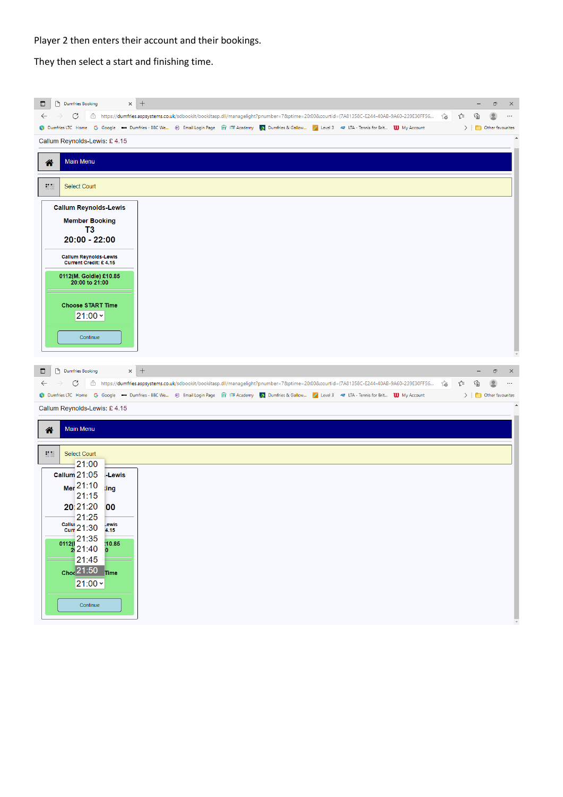Player 2 then enters their account and their bookings.

They then select a start and finishing time.

| Dumfries Booking<br>$\times$ +<br>$\Box$                                                                                                                                                                 | ο<br>×                                   |
|----------------------------------------------------------------------------------------------------------------------------------------------------------------------------------------------------------|------------------------------------------|
| $\leftarrow$<br>C<br>合 https://dumfries.aspsystems.co.uk/sdbookit/bookitasp.dll/managelight?pnumber=7&ptime=20:00&courtid={7A81358C-E244-40AB-9A60-239E30FF56 (る<br>$\rightarrow$<br>า∕ิัั≡              | ⊕<br>⊻<br>$\ldots$                       |
| Dumfries LTC Home G Google  Dumfries - BBC We @ Email Login Page fr FITF Academy Dumfries & Gallow A Level 3 < LTA - Tennis for Brit <b>W</b> My Account                                                 | $\triangleright$ $\Box$ Other favourites |
| Callum Reynolds-Lewis: £4.15                                                                                                                                                                             |                                          |
| <b>Main Menu</b><br>合                                                                                                                                                                                    |                                          |
| $^{10}_{50}$ $^{10}_{50}$<br><b>Select Court</b>                                                                                                                                                         |                                          |
| <b>Callum Reynolds-Lewis</b>                                                                                                                                                                             |                                          |
| <b>Member Booking</b>                                                                                                                                                                                    |                                          |
| T <sub>3</sub><br>$20:00 - 22:00$                                                                                                                                                                        |                                          |
| <b>Callum Reynolds-Lewis</b><br>Current Credit: £4.15                                                                                                                                                    |                                          |
| 0112(M. Goldie) £10.85<br>20:00 to 21:00                                                                                                                                                                 |                                          |
| <b>Choose START Time</b>                                                                                                                                                                                 |                                          |
| $21:00 \times$                                                                                                                                                                                           |                                          |
| Continue                                                                                                                                                                                                 |                                          |
|                                                                                                                                                                                                          |                                          |
|                                                                                                                                                                                                          |                                          |
| P Dumfries Booking<br>$\Box$                                                                                                                                                                             | ο<br>$\times$                            |
| $\times$ +<br>$\leftarrow$<br>습 https://dumfries.aspsystems.co.uk/sdbookit/bookitasp.dll/managelight?pnumber=7&ptime=20:00&courtid={7A81358C-E244-40AB-9A60-239E30FF56<br>$\rightarrow$<br>C<br>⊄≣<br>్త | ⊕<br>$\cdots$                            |
| 1 Dumfries LTC Home G Google  Dumfries - BBC We @ Email Login Page fir ITF Academy A Dumfries & Gallow A Level 3 4 LTA - Tennis for Brit <b>W</b> My Account                                             | $\sum$ Other favourites                  |
| Callum Reynolds-Lewis: £4.15                                                                                                                                                                             |                                          |
| <b>Main Menu</b><br>合                                                                                                                                                                                    |                                          |
| $\frac{1}{60} \frac{1}{60}$<br><b>Select Court</b>                                                                                                                                                       |                                          |
| $-21:00$                                                                                                                                                                                                 |                                          |
| <b>Callum 21:05</b><br>-Lewis                                                                                                                                                                            |                                          |
| Mer 21:10<br>ting<br>21:15                                                                                                                                                                               |                                          |
| 20:21:20<br>00                                                                                                                                                                                           |                                          |
| 21:25<br>$\frac{\text{Callu}}{\text{Curr}}$ 21:30<br>Lewis<br>4.15                                                                                                                                       |                                          |
| 10.85                                                                                                                                                                                                    |                                          |
| $\frac{21:35}{2}$<br>21:40<br>$\bf{0}$<br>21:45                                                                                                                                                          |                                          |
| $_{\text{Choc}}$ 21:50 $_{\text{Time}}$                                                                                                                                                                  |                                          |
| $21:00 \times$                                                                                                                                                                                           |                                          |